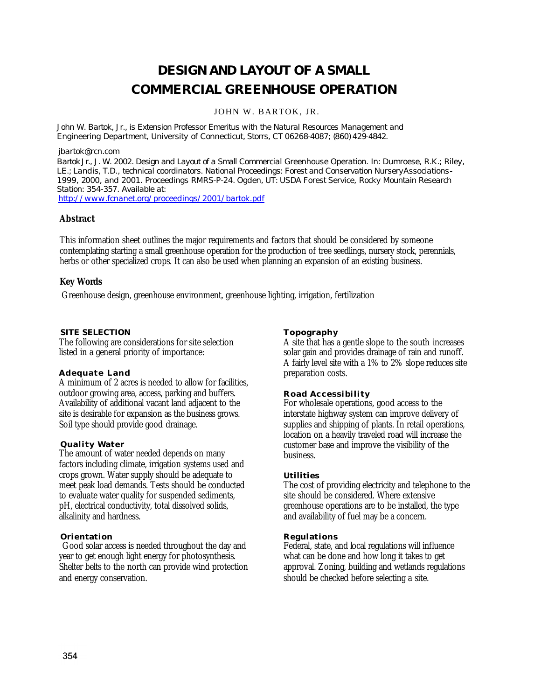# **DESIGN AND LAYOUT OF A SMALL COMMERCIAL GREENHOUSE OPERATION**

JOHN W. BARTOK, JR.

John W. Bartok, Jr., is Extension Professor Emeritus with the Natural Resources Management and *Engineering Department, University of Connecticut, Storrs, CT 06268-4087; (860) 429-4842.*

#### *jbartok@rcn.com*

*BartokJr., J. W. 2002. Design and Layout of a Small Commercial Greenhouse Operation. In: Dumroese, R.K.; Riley, LE.; Landis, T.D., technical coordinators. National Proceedings: Forest and Conservation NurseryAssociations-1999, 2000, and 2001. Proceedings RMRS-P-24. Ogden, UT: USDA Forest Service, Rocky Mountain Research Station: 354-357. Available at:*

*http://www.fcnanet.org/proceedings/2001/bartok.pdf*

# **Abstract**

This information sheet outlines the major requirements and factors that should be considered by someone contemplating starting a small greenhouse operation for the production of tree seedlings, nursery stock, perennials, herbs or other specialized crops. It can also be used when planning an expansion of an existing business.

# **Key Words**

Greenhouse design, greenhouse environment, greenhouse lighting, irrigation, fertilization

#### **SITE SELECTION**

The following are considerations for site selection listed in a general priority of importance:

# **Adequate Land**

A minimum of 2 acres is needed to allow for facilities, outdoor growing area, access, parking and buffers. Availability of additional vacant land adjacent to the site is desirable for expansion as the business grows. Soil type should provide good drainage.

# **Quality Water**

The amount of water needed depends on many factors including climate, irrigation systems used and crops grown. Water supply should be adequate to meet peak load demands. Tests should be conducted to evaluate water quality for suspended sediments, pH, electrical conductivity, total dissolved solids, alkalinity and hardness.

# **Orientation**

Good solar access is needed throughout the day and year to get enough light energy for photosynthesis. Shelter belts to the north can provide wind protection and energy conservation.

#### **Topography**

A site that has a gentle slope to the south increases solar gain and provides drainage of rain and runoff. A fairly level site with a 1% to 2% slope reduces site preparation costs.

# **Road Accessibility**

For wholesale operations, good access to the interstate highway system can improve delivery of supplies and shipping of plants. In retail operations, location on a heavily traveled road will increase the customer base and improve the visibility of the business.

#### **Utilities**

The cost of providing electricity and telephone to the site should be considered. Where extensive greenhouse operations are to be installed, the type and availability of fuel may be a concern.

# **Regulations**

Federal, state, and local regulations will influence what can be done and how long it takes to get approval. Zoning, building and wetlands regulations should be checked before selecting a site.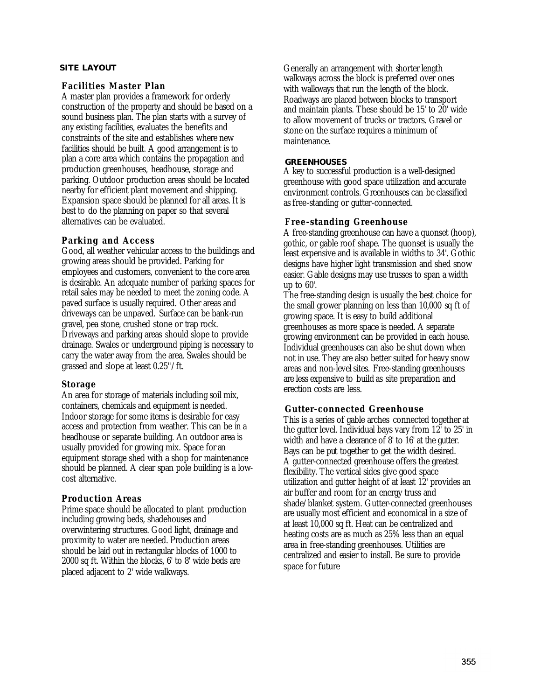# **SITE LAYOUT**

#### **Facilities Master Plan**

A master plan provides a framework for orderly construction of the property and should be based on a sound business plan. The plan starts with a survey of any existing facilities, evaluates the benefits and constraints of the site and establishes where new facilities should be built. A good arrangement is to plan a core area which contains the propagation and production greenhouses, headhouse, storage and parking. Outdoor production areas should be located nearby for efficient plant movement and shipping. Expansion space should be planned for all areas. It is best to do the planning on paper so that several alternatives can be evaluated.

# **Parking and Access**

Good, all weather vehicular access to the buildings and growing areas should be provided. Parking for employees and customers, convenient to the core area is desirable. An adequate number of parking spaces for retail sales may be needed to meet the zoning code. A paved surface is usually required. Other areas and driveways can be unpaved. Surface can be bank-run gravel, pea stone, crushed stone or trap rock. Driveways and parking areas should slope to provide drainage. Swales or underground piping is necessary to carry the water away from the area. Swales should be grassed and slope at least 0.25"/ft.

# **Storage**

An area for storage of materials including soil mix, containers, chemicals and equipment is needed. Indoor storage for some items is desirable for easy access and protection from weather. This can be in a headhouse or separate building. An outdoor area is usually provided for growing mix. Space for an equipment storage shed with a shop for maintenance should be planned. A clear span pole building is a lowcost alternative.

# **Production Areas**

Prime space should be allocated to plant production including growing beds, shadehouses and overwintering structures. Good light, drainage and proximity to water are needed. Production areas should be laid out in rectangular blocks of 1000 to 2000 sq ft. Within the blocks, 6' to 8' wide beds are placed adjacent to 2' wide walkways.

Generally an arrangement with shorter length walkways across the block is preferred over ones with walkways that run the length of the block. Roadways are placed between blocks to transport and maintain plants. These should be 15' to 20' wide to allow movement of trucks or tractors. Gravel or stone on the surface requires a minimum of maintenance.

#### **GREENHOUSES**

A key to successful production is a well-designed greenhouse with good space utilization and accurate environment controls. Greenhouses can be classified as free-standing or gutter-connected.

#### **Free-standing Greenhouse**

A free-standing greenhouse can have a quonset (hoop), gothic, or gable roof shape. The quonset is usually the least expensive and is available in widths to 34'. Gothic designs have higher light transmission and shed snow easier. Gable designs may use trusses to span a width up to 60'.

The free-standing design is usually the best choice for the small grower planning on less than 10,000 sq ft of growing space. It is easy to build additional greenhouses as more space is needed. A separate growing environment can be provided in each house. Individual greenhouses can also be shut down when not in use. They are also better suited for heavy snow areas and non-level sites. Free-standing greenhouses are less expensive to build as site preparation and erection costs are less.

# **Gutter-connected Greenhouse**

This is a series of gable arches connected together at the gutter level. Individual bays vary from 12' to 25' in width and have a clearance of 8' to 16' at the gutter. Bays can be put together to get the width desired. A gutter-connected greenhouse offers the greatest flexibility. The vertical sides give good space utilization and gutter height of at least 12' provides an air buffer and room for an energy truss and shade/blanket system. Gutter-connected greenhouses are usually most efficient and economical in a size of at least 10,000 sq ft. Heat can be centralized and heating costs are as much as 25% less than an equal area in free-standing greenhouses. Utilities are centralized and easier to install. Be sure to provide space for future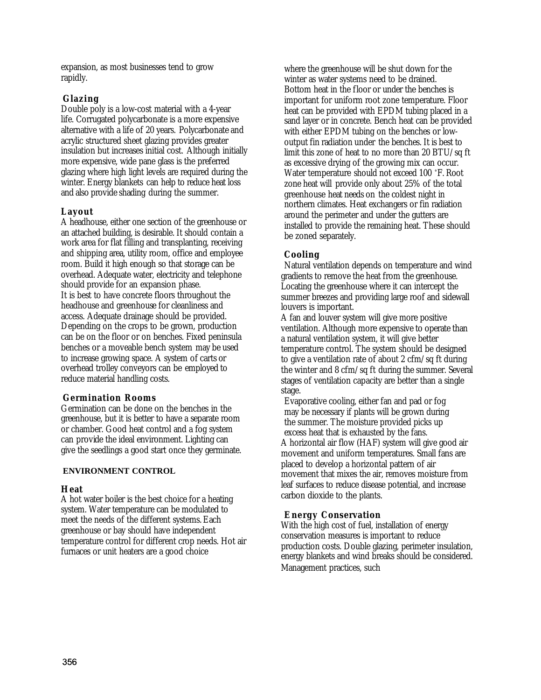expansion, as most businesses tend to grow rapidly.

# **Glazing**

Double poly is a low-cost material with a 4-year life. Corrugated polycarbonate is a more expensive alternative with a life of 20 years. Polycarbonate and acrylic structured sheet glazing provides greater insulation but increases initial cost. Although initially more expensive, wide pane glass is the preferred glazing where high light levels are required during the winter. Energy blankets can help to reduce heat loss and also provide shading during the summer.

# **Layout**

A headhouse, either one section of the greenhouse or an attached building, is desirable. It should contain a work area for flat filling and transplanting, receiving and shipping area, utility room, office and employee room. Build it high enough so that storage can be overhead. Adequate water, electricity and telephone should provide for an expansion phase. It is best to have concrete floors throughout the headhouse and greenhouse for cleanliness and access. Adequate drainage should be provided. Depending on the crops to be grown, production can be on the floor or on benches. Fixed peninsula benches or a moveable bench system may be used to increase growing space. A system of carts or overhead trolley conveyors can be employed to reduce material handling costs.

# **Germination Rooms**

Germination can be done on the benches in the greenhouse, but it is better to have a separate room or chamber. Good heat control and a fog system can provide the ideal environment. Lighting can give the seedlings a good start once they germinate.

# **ENVIRONMENT CONTROL**

# **Heat**

A hot water boiler is the best choice for a heating system. Water temperature can be modulated to meet the needs of the different systems. Each greenhouse or bay should have independent temperature control for different crop needs. Hot air furnaces or unit heaters are a good choice

where the greenhouse will be shut down for the winter as water systems need to be drained. Bottom heat in the floor or under the benches is important for uniform root zone temperature. Floor heat can be provided with EPDM tubing placed in a sand layer or in concrete. Bench heat can be provided with either EPDM tubing on the benches or lowoutput fin radiation under the benches. It is best to limit this zone of heat to no more than 20 BTU/sq ft as excessive drying of the growing mix can occur. Water temperature should not exceed 100 °F. Root zone heat will provide only about 25% of the total greenhouse heat needs on the coldest night in northern climates. Heat exchangers or fin radiation around the perimeter and under the gutters are installed to provide the remaining heat. These should be zoned separately.

# **Cooling**

Natural ventilation depends on temperature and wind gradients to remove the heat from the greenhouse. Locating the greenhouse where it can intercept the summer breezes and providing large roof and sidewall louvers is important.

A fan and louver system will give more positive ventilation. Although more expensive to operate than a natural ventilation system, it will give better temperature control. The system should be designed to give a ventilation rate of about 2 cfm/sq ft during the winter and 8 cfm/sq ft during the summer. Several stages of ventilation capacity are better than a single stage.

Evaporative cooling, either fan and pad or fog may be necessary if plants will be grown during the summer. The moisture provided picks up excess heat that is exhausted by the fans. A horizontal air flow (HAF) system will give good air movement and uniform temperatures. Small fans are placed to develop a horizontal pattern of air movement that mixes the air, removes moisture from leaf surfaces to reduce disease potential, and increase carbon dioxide to the plants.

# **Energy Conservation**

With the high cost of fuel, installation of energy conservation measures is important to reduce production costs. Double glazing, perimeter insulation, energy blankets and wind breaks should be considered. Management practices, such